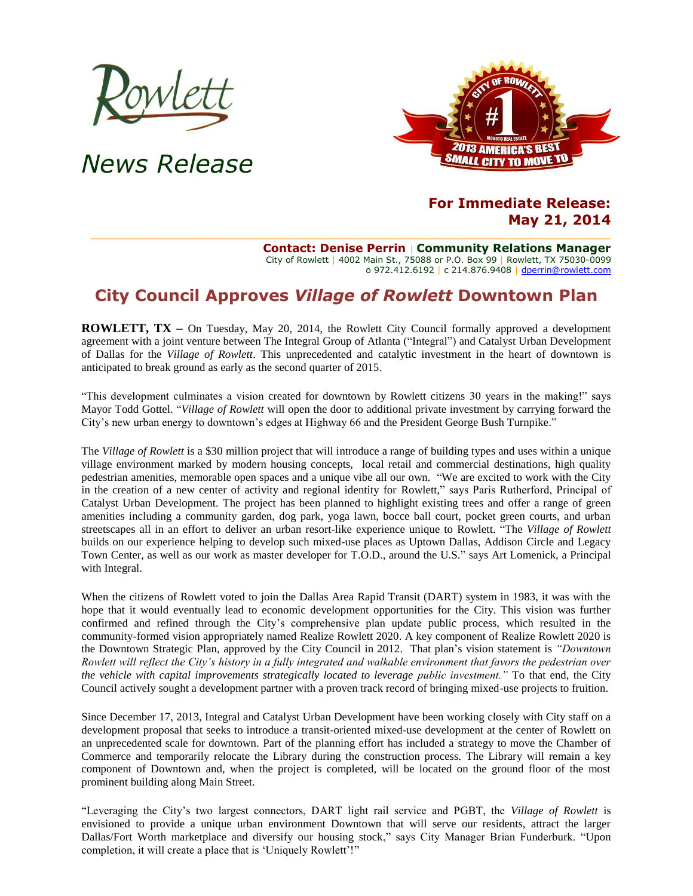

# *News Release*



## **For Immediate Release: May 21, 2014**

**Contact: Denise Perrin** | **Community Relations Manager** City of Rowlett | 4002 Main St., 75088 or P.O. Box 99 | Rowlett, TX 75030-0099 o 972.412.6192 | c 214.876.9408 [| dperrin@rowlett.com](mailto:dperrin@rowlett.com)

## **City Council Approves** *Village of Rowlett* **Downtown Plan**

**ROWLETT, TX** – On Tuesday, May 20, 2014, the Rowlett City Council formally approved a development agreement with a joint venture between The Integral Group of Atlanta ("Integral") and Catalyst Urban Development of Dallas for the *Village of Rowlett*. This unprecedented and catalytic investment in the heart of downtown is anticipated to break ground as early as the second quarter of 2015.

"This development culminates a vision created for downtown by Rowlett citizens 30 years in the making!" says Mayor Todd Gottel. "*Village of Rowlett* will open the door to additional private investment by carrying forward the City's new urban energy to downtown's edges at Highway 66 and the President George Bush Turnpike."

The *Village of Rowlett* is a \$30 million project that will introduce a range of building types and uses within a unique village environment marked by modern housing concepts, local retail and commercial destinations, high quality pedestrian amenities, memorable open spaces and a unique vibe all our own. "We are excited to work with the City in the creation of a new center of activity and regional identity for Rowlett," says Paris Rutherford, Principal of Catalyst Urban Development. The project has been planned to highlight existing trees and offer a range of green amenities including a community garden, dog park, yoga lawn, bocce ball court, pocket green courts, and urban streetscapes all in an effort to deliver an urban resort-like experience unique to Rowlett. "The *Village of Rowlett* builds on our experience helping to develop such mixed-use places as Uptown Dallas, Addison Circle and Legacy Town Center, as well as our work as master developer for T.O.D., around the U.S." says Art Lomenick, a Principal with Integral.

When the citizens of Rowlett voted to join the Dallas Area Rapid Transit (DART) system in 1983, it was with the hope that it would eventually lead to economic development opportunities for the City. This vision was further confirmed and refined through the City's comprehensive plan update public process, which resulted in the community-formed vision appropriately named Realize Rowlett 2020. A key component of Realize Rowlett 2020 is the Downtown Strategic Plan, approved by the City Council in 2012. That plan's vision statement is *"Downtown Rowlett will reflect the City's history in a fully integrated and walkable environment that favors the pedestrian over the vehicle with capital improvements strategically located to leverage public investment."* To that end, the City Council actively sought a development partner with a proven track record of bringing mixed-use projects to fruition.

Since December 17, 2013, Integral and Catalyst Urban Development have been working closely with City staff on a development proposal that seeks to introduce a transit-oriented mixed-use development at the center of Rowlett on an unprecedented scale for downtown. Part of the planning effort has included a strategy to move the Chamber of Commerce and temporarily relocate the Library during the construction process. The Library will remain a key component of Downtown and, when the project is completed, will be located on the ground floor of the most prominent building along Main Street.

"Leveraging the City's two largest connectors, DART light rail service and PGBT, the *Village of Rowlett* is envisioned to provide a unique urban environment Downtown that will serve our residents, attract the larger Dallas/Fort Worth marketplace and diversify our housing stock," says City Manager Brian Funderburk. "Upon completion, it will create a place that is 'Uniquely Rowlett'!"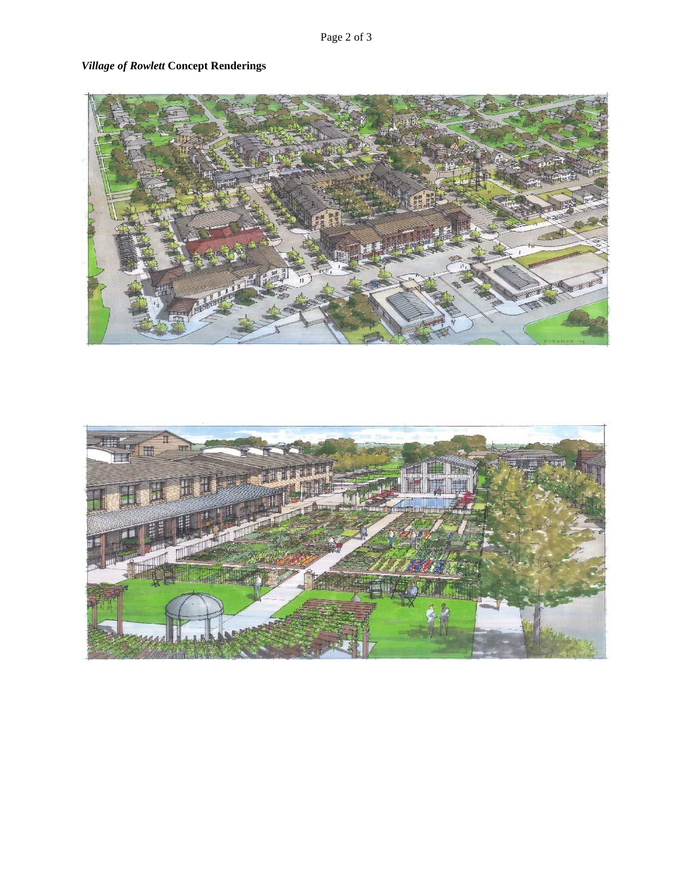## *Village of Rowlett* **Concept Renderings**